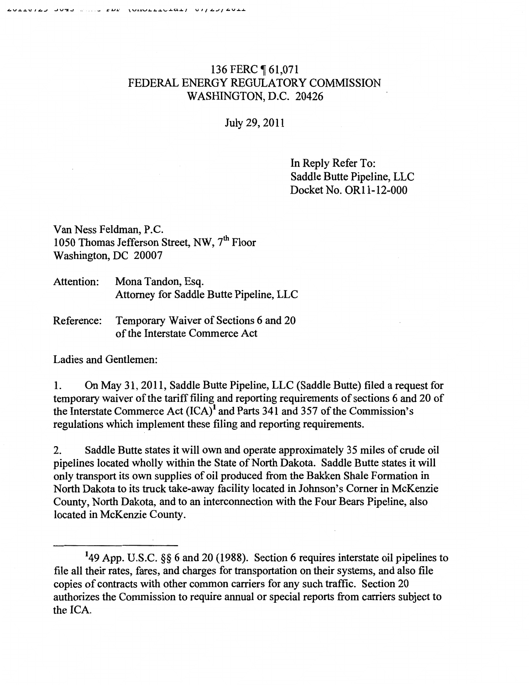## 136 FERC ¶ 61,071 FEDERAL ENERGY REGULATORY COMMISSION WASHINGTON, D.C. 20426

July 29, 2011

In Reply Refer To: Saddle Butte Pipeline, LLC Docket No. OR11-12-000

Van Ness Feldman, P.C. 1050 Thomas Jefferson Street, NW, 7<sup>th</sup> Floor Washington, DC 20007

Attention: Mona Tandon, Esq. Attorney for Saddle Butte Pipeline, LLC

Reference: Temporary Waiver of Sections 6 and 20 of the Interstate Commerce Act

Ladies and Gentlemen:

1. On May 31, 2011, Saddle Butte Pipeline, LLC (Saddle Butte) filed a request for temporary waiver of the tariff filing and reporting requirements of sections 6 and 20 of the Interstate Commerce Act  $(ICA)^1$  and Parts 341 and 357 of the Commission's regulations which implement these filing and reporting requirements.

2. Saddle Butte states it will own and operate approximately 35 miles of crude oil pipelines located wholly within the State of North Dakota. Saddle Butte states it will only transport its own supplies of oil produced from the Bakken Shale Formation in North Dakota to its truck take-away facility located in Johnson's Comer in McKenzie County, North Dakota, and to an interconnection with the Four Bears Pipeline, also located in McKenzie County.

<sup>1</sup>49 App. U.S.C. §§ 6 and 20 (1988). Section 6 requires interstate oil pipelines to file all their rates, fares, and charges for transportation on their systems, and also file copies of contracts with other common carriers for any such traffic. Section 20 authorizes the Commission to require annual or special reports from carriers subject to the ICA.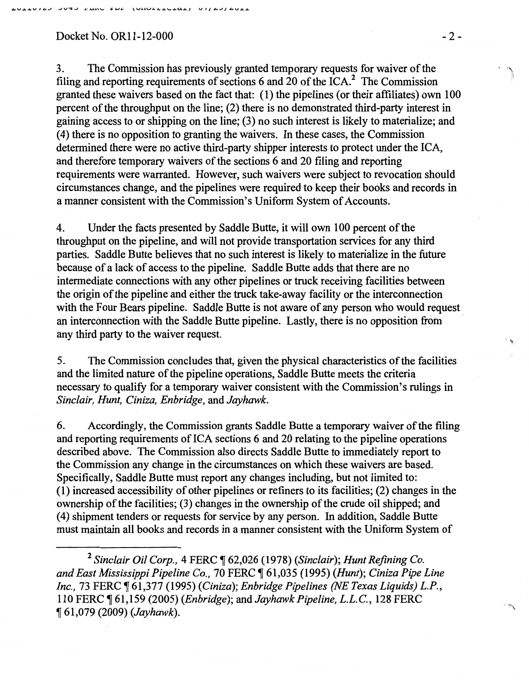Docket No. OR11-12-000 -2-

3. The Commission has previously granted temporary requests for waiver of the filing and reporting requirements of sections 6 and 20 of the  $ICA$ .<sup>2</sup> The Commission granted these waivers based on the fact that: ( 1) the pipelines (or their affiliates) own 100 percent of the throughput on the line; (2) there is no demonstrated third-party interest in gaining access to or shipping on the line; (3) no such interest is likely to materialize; and (4) there is no opposition to granting the waivers. In these cases, the Commission determined there were no active third-party shipper interests to protect under the ICA, and therefore temporary waivers of the sections 6 and 20 filing and reporting requirements were warranted. However, such waivers were subject to revocation should circumstances change, and the pipelines were required to keep their books and records in a manner consistent with the Commission's Uniform System of Accounts.

4. Under the facts presented by Saddle Butte, it will own 100 percent of the throughput on the pipeline, and will not provide transportation services for any third parties. Saddle Butte believes that no such interest is likely to materialize in the future because of a lack of access to the pipeline. Saddle Butte adds that there are no intermediate connections with any other pipelines or truck receiving facilities between the origin of the pipeline and either the truck take-away facility or the interconnection with the Four Bears pipeline. Saddle Butte is not aware of any person who would request an interconnection with the Saddle Butte pipeline. Lastly, there is no opposition from any third party to the waiver request.

5. The Commission concludes that, given the physical characteristics of the facilities and the limited nature of the pipeline operations, Saddle Butte meets the criteria necessary to qualify for a temporary waiver consistent with the Commission's rulings in *Sinclair, Hunt, Ciniza, Enbridge,* and *Jayhawk.* 

6. Accordingly, the Commission grants Saddle Butte a temporary waiver of the filing and reporting requirements of ICA sections 6 and 20 relating to the pipeline operations described above. The Commission also directs Saddle Butte to immediately report to the Commission any change in the circumstances on which these waivers are based. Specifically, Saddle Butte must report any changes including, but not limited to: (1) increased accessibility of other pipelines or refiners to its facilities; (2) changes in the ownership of the facilities; (3) changes in the ownership of the crude oil shipped; and ( 4) shipment tenders or requests for service by any person. In addition, Saddle Butte must maintain all books and records in a manner consistent with the Uniform System of

<sup>2</sup> Sinclair Oil Corp., 4 FERC ¶ 62,026 (1978) (Sinclair); Hunt Refining Co. *and East Mississippi Pipeline Co.,* 70 FERC ~ 61,035 (1995) *(Hunt); Ciniza Pipe Line Inc.,* 73 FERC ~ 61,377 (1995) *(Ciniza); Enbridge Pipelines (NE Texas Liquids) L.P.,*  110 FERC ~ 61,159 (2005) *(Enbridge);* and *Jayhawk Pipeline, L.L.C.,* 128 FERC <sup>~</sup>61,079 (2009) *(Jayhawk).* 

 $\mathbf{h}$ 

 $\sqrt{2}$